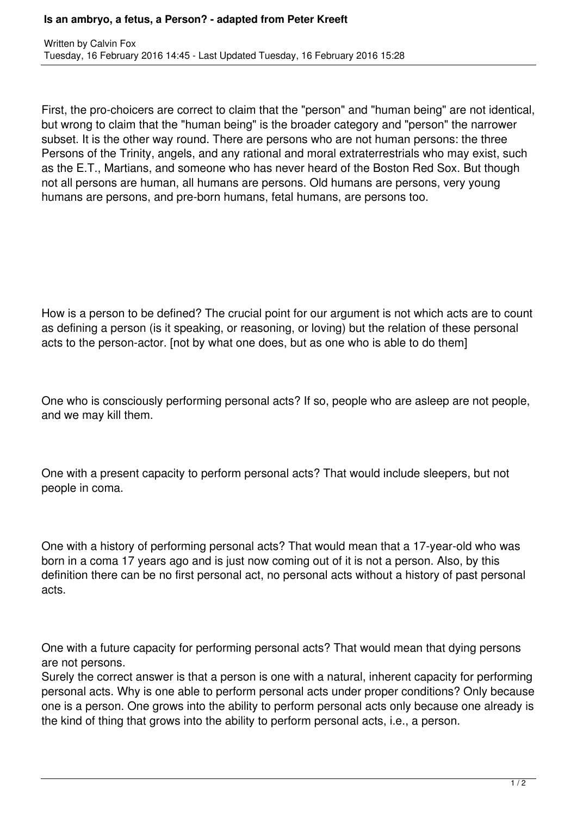First, the pro-choicers are correct to claim that the "person" and "human being" are not identical, but wrong to claim that the "human being" is the broader category and "person" the narrower subset. It is the other way round. There are persons who are not human persons: the three Persons of the Trinity, angels, and any rational and moral extraterrestrials who may exist, such as the E.T., Martians, and someone who has never heard of the Boston Red Sox. But though not all persons are human, all humans are persons. Old humans are persons, very young humans are persons, and pre-born humans, fetal humans, are persons too.

How is a person to be defined? The crucial point for our argument is not which acts are to count as defining a person (is it speaking, or reasoning, or loving) but the relation of these personal acts to the person-actor. [not by what one does, but as one who is able to do them]

One who is consciously performing personal acts? If so, people who are asleep are not people, and we may kill them.

One with a present capacity to perform personal acts? That would include sleepers, but not people in coma.

One with a history of performing personal acts? That would mean that a 17-year-old who was born in a coma 17 years ago and is just now coming out of it is not a person. Also, by this definition there can be no first personal act, no personal acts without a history of past personal acts.

One with a future capacity for performing personal acts? That would mean that dying persons are not persons.

Surely the correct answer is that a person is one with a natural, inherent capacity for performing personal acts. Why is one able to perform personal acts under proper conditions? Only because one is a person. One grows into the ability to perform personal acts only because one already is the kind of thing that grows into the ability to perform personal acts, i.e., a person.